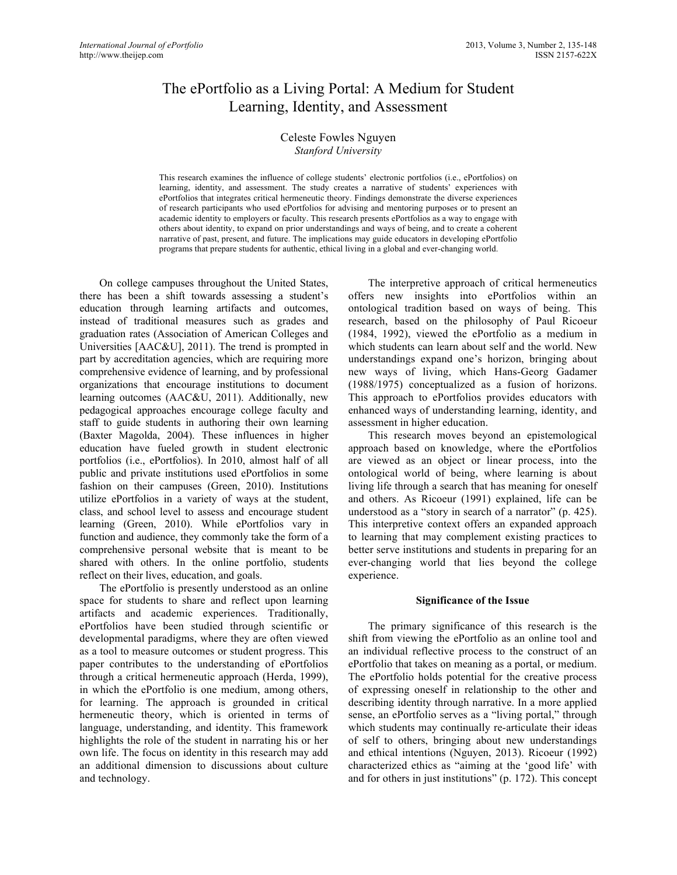# The ePortfolio as a Living Portal: A Medium for Student Learning, Identity, and Assessment

## Celeste Fowles Nguyen *Stanford University*

This research examines the influence of college students' electronic portfolios (i.e., ePortfolios) on learning, identity, and assessment. The study creates a narrative of students' experiences with ePortfolios that integrates critical hermeneutic theory. Findings demonstrate the diverse experiences of research participants who used ePortfolios for advising and mentoring purposes or to present an academic identity to employers or faculty. This research presents ePortfolios as a way to engage with others about identity, to expand on prior understandings and ways of being, and to create a coherent narrative of past, present, and future. The implications may guide educators in developing ePortfolio programs that prepare students for authentic, ethical living in a global and ever-changing world.

On college campuses throughout the United States, there has been a shift towards assessing a student's education through learning artifacts and outcomes, instead of traditional measures such as grades and graduation rates (Association of American Colleges and Universities [AAC&U], 2011). The trend is prompted in part by accreditation agencies, which are requiring more comprehensive evidence of learning, and by professional organizations that encourage institutions to document learning outcomes (AAC&U, 2011). Additionally, new pedagogical approaches encourage college faculty and staff to guide students in authoring their own learning (Baxter Magolda, 2004). These influences in higher education have fueled growth in student electronic portfolios (i.e., ePortfolios). In 2010, almost half of all public and private institutions used ePortfolios in some fashion on their campuses (Green, 2010). Institutions utilize ePortfolios in a variety of ways at the student, class, and school level to assess and encourage student learning (Green, 2010). While ePortfolios vary in function and audience, they commonly take the form of a comprehensive personal website that is meant to be shared with others. In the online portfolio, students reflect on their lives, education, and goals.

The ePortfolio is presently understood as an online space for students to share and reflect upon learning artifacts and academic experiences. Traditionally, ePortfolios have been studied through scientific or developmental paradigms, where they are often viewed as a tool to measure outcomes or student progress. This paper contributes to the understanding of ePortfolios through a critical hermeneutic approach (Herda, 1999), in which the ePortfolio is one medium, among others, for learning. The approach is grounded in critical hermeneutic theory, which is oriented in terms of language, understanding, and identity. This framework highlights the role of the student in narrating his or her own life. The focus on identity in this research may add an additional dimension to discussions about culture and technology.

The interpretive approach of critical hermeneutics offers new insights into ePortfolios within an ontological tradition based on ways of being. This research, based on the philosophy of Paul Ricoeur (1984, 1992), viewed the ePortfolio as a medium in which students can learn about self and the world. New understandings expand one's horizon, bringing about new ways of living, which Hans-Georg Gadamer (1988/1975) conceptualized as a fusion of horizons. This approach to ePortfolios provides educators with enhanced ways of understanding learning, identity, and assessment in higher education.

This research moves beyond an epistemological approach based on knowledge, where the ePortfolios are viewed as an object or linear process, into the ontological world of being, where learning is about living life through a search that has meaning for oneself and others. As Ricoeur (1991) explained, life can be understood as a "story in search of a narrator" (p. 425). This interpretive context offers an expanded approach to learning that may complement existing practices to better serve institutions and students in preparing for an ever-changing world that lies beyond the college experience.

#### **Significance of the Issue**

The primary significance of this research is the shift from viewing the ePortfolio as an online tool and an individual reflective process to the construct of an ePortfolio that takes on meaning as a portal, or medium. The ePortfolio holds potential for the creative process of expressing oneself in relationship to the other and describing identity through narrative. In a more applied sense, an ePortfolio serves as a "living portal," through which students may continually re-articulate their ideas of self to others, bringing about new understandings and ethical intentions (Nguyen, 2013). Ricoeur (1992) characterized ethics as "aiming at the 'good life' with and for others in just institutions" (p. 172). This concept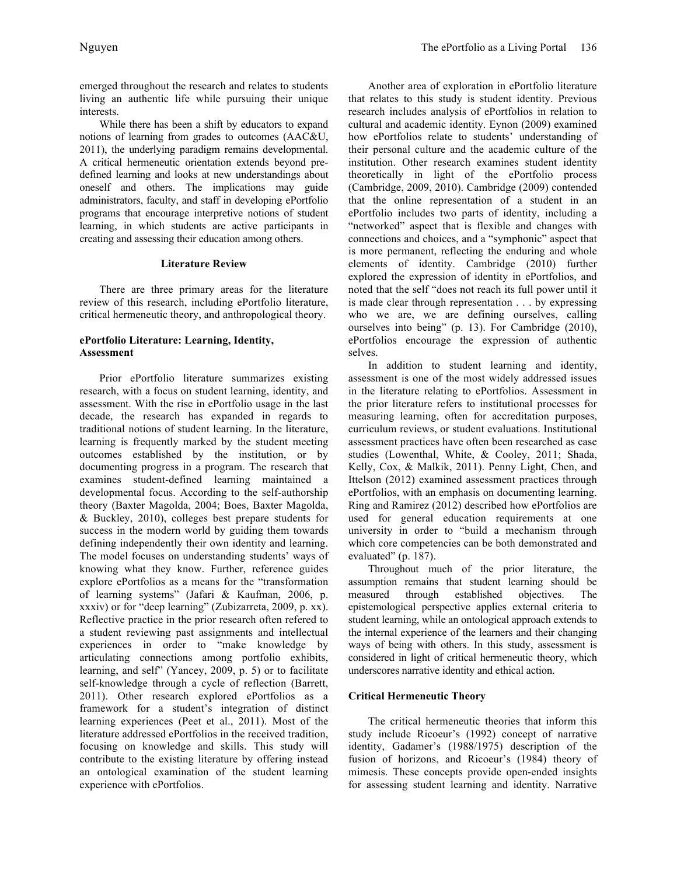emerged throughout the research and relates to students living an authentic life while pursuing their unique interests.

While there has been a shift by educators to expand notions of learning from grades to outcomes (AAC&U, 2011), the underlying paradigm remains developmental. A critical hermeneutic orientation extends beyond predefined learning and looks at new understandings about oneself and others. The implications may guide administrators, faculty, and staff in developing ePortfolio programs that encourage interpretive notions of student learning, in which students are active participants in creating and assessing their education among others.

# **Literature Review**

There are three primary areas for the literature review of this research, including ePortfolio literature, critical hermeneutic theory, and anthropological theory.

# **ePortfolio Literature: Learning, Identity, Assessment**

Prior ePortfolio literature summarizes existing research, with a focus on student learning, identity, and assessment. With the rise in ePortfolio usage in the last decade, the research has expanded in regards to traditional notions of student learning. In the literature, learning is frequently marked by the student meeting outcomes established by the institution, or by documenting progress in a program. The research that examines student-defined learning maintained a developmental focus. According to the self-authorship theory (Baxter Magolda, 2004; Boes, Baxter Magolda, & Buckley, 2010), colleges best prepare students for success in the modern world by guiding them towards defining independently their own identity and learning. The model focuses on understanding students' ways of knowing what they know. Further, reference guides explore ePortfolios as a means for the "transformation of learning systems" (Jafari & Kaufman, 2006, p. xxxiv) or for "deep learning" (Zubizarreta, 2009, p. xx). Reflective practice in the prior research often refered to a student reviewing past assignments and intellectual experiences in order to "make knowledge by articulating connections among portfolio exhibits, learning, and self" (Yancey, 2009, p. 5) or to facilitate self-knowledge through a cycle of reflection (Barrett, 2011). Other research explored ePortfolios as a framework for a student's integration of distinct learning experiences (Peet et al., 2011). Most of the literature addressed ePortfolios in the received tradition, focusing on knowledge and skills. This study will contribute to the existing literature by offering instead an ontological examination of the student learning experience with ePortfolios.

Another area of exploration in ePortfolio literature that relates to this study is student identity. Previous research includes analysis of ePortfolios in relation to cultural and academic identity. Eynon (2009) examined how ePortfolios relate to students' understanding of their personal culture and the academic culture of the institution. Other research examines student identity theoretically in light of the ePortfolio process (Cambridge, 2009, 2010). Cambridge (2009) contended that the online representation of a student in an ePortfolio includes two parts of identity, including a "networked" aspect that is flexible and changes with connections and choices, and a "symphonic" aspect that is more permanent, reflecting the enduring and whole elements of identity. Cambridge (2010) further explored the expression of identity in ePortfolios, and noted that the self "does not reach its full power until it is made clear through representation . . . by expressing who we are, we are defining ourselves, calling ourselves into being" (p. 13). For Cambridge (2010), ePortfolios encourage the expression of authentic selves.

In addition to student learning and identity, assessment is one of the most widely addressed issues in the literature relating to ePortfolios. Assessment in the prior literature refers to institutional processes for measuring learning, often for accreditation purposes, curriculum reviews, or student evaluations. Institutional assessment practices have often been researched as case studies (Lowenthal, White, & Cooley, 2011; Shada, Kelly, Cox, & Malkik, 2011). Penny Light, Chen, and Ittelson (2012) examined assessment practices through ePortfolios, with an emphasis on documenting learning. Ring and Ramirez (2012) described how ePortfolios are used for general education requirements at one university in order to "build a mechanism through which core competencies can be both demonstrated and evaluated" (p. 187).

Throughout much of the prior literature, the assumption remains that student learning should be measured through established objectives. The epistemological perspective applies external criteria to student learning, while an ontological approach extends to the internal experience of the learners and their changing ways of being with others. In this study, assessment is considered in light of critical hermeneutic theory, which underscores narrative identity and ethical action.

# **Critical Hermeneutic Theory**

The critical hermeneutic theories that inform this study include Ricoeur's (1992) concept of narrative identity, Gadamer's (1988/1975) description of the fusion of horizons, and Ricoeur's (1984) theory of mimesis. These concepts provide open-ended insights for assessing student learning and identity. Narrative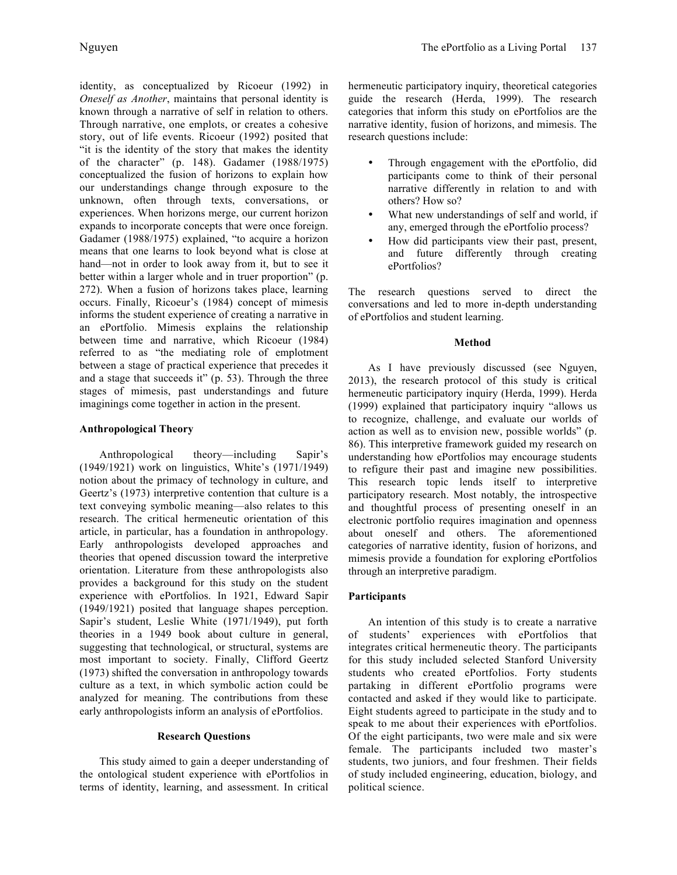identity, as conceptualized by Ricoeur (1992) in *Oneself as Another*, maintains that personal identity is known through a narrative of self in relation to others. Through narrative, one emplots, or creates a cohesive story, out of life events. Ricoeur (1992) posited that "it is the identity of the story that makes the identity of the character" (p. 148). Gadamer (1988/1975) conceptualized the fusion of horizons to explain how our understandings change through exposure to the unknown, often through texts, conversations, or experiences. When horizons merge, our current horizon expands to incorporate concepts that were once foreign. Gadamer (1988/1975) explained, "to acquire a horizon means that one learns to look beyond what is close at hand—not in order to look away from it, but to see it better within a larger whole and in truer proportion" (p. 272). When a fusion of horizons takes place, learning occurs. Finally, Ricoeur's (1984) concept of mimesis informs the student experience of creating a narrative in an ePortfolio. Mimesis explains the relationship between time and narrative, which Ricoeur (1984) referred to as "the mediating role of emplotment between a stage of practical experience that precedes it and a stage that succeeds it" (p. 53). Through the three stages of mimesis, past understandings and future imaginings come together in action in the present.

# **Anthropological Theory**

Anthropological theory—including Sapir's (1949/1921) work on linguistics, White's (1971/1949) notion about the primacy of technology in culture, and Geertz's (1973) interpretive contention that culture is a text conveying symbolic meaning—also relates to this research. The critical hermeneutic orientation of this article, in particular, has a foundation in anthropology. Early anthropologists developed approaches and theories that opened discussion toward the interpretive orientation. Literature from these anthropologists also provides a background for this study on the student experience with ePortfolios. In 1921, Edward Sapir (1949/1921) posited that language shapes perception. Sapir's student, Leslie White (1971/1949), put forth theories in a 1949 book about culture in general, suggesting that technological, or structural, systems are most important to society. Finally, Clifford Geertz (1973) shifted the conversation in anthropology towards culture as a text, in which symbolic action could be analyzed for meaning. The contributions from these early anthropologists inform an analysis of ePortfolios.

# **Research Questions**

This study aimed to gain a deeper understanding of the ontological student experience with ePortfolios in terms of identity, learning, and assessment. In critical hermeneutic participatory inquiry, theoretical categories guide the research (Herda, 1999). The research categories that inform this study on ePortfolios are the narrative identity, fusion of horizons, and mimesis. The research questions include:

- Through engagement with the ePortfolio, did participants come to think of their personal narrative differently in relation to and with others? How so?
- What new understandings of self and world, if any, emerged through the ePortfolio process?
- How did participants view their past, present, and future differently through creating ePortfolios?

The research questions served to direct the conversations and led to more in-depth understanding of ePortfolios and student learning.

# **Method**

As I have previously discussed (see Nguyen, 2013), the research protocol of this study is critical hermeneutic participatory inquiry (Herda, 1999). Herda (1999) explained that participatory inquiry "allows us to recognize, challenge, and evaluate our worlds of action as well as to envision new, possible worlds" (p. 86). This interpretive framework guided my research on understanding how ePortfolios may encourage students to refigure their past and imagine new possibilities. This research topic lends itself to interpretive participatory research. Most notably, the introspective and thoughtful process of presenting oneself in an electronic portfolio requires imagination and openness about oneself and others. The aforementioned categories of narrative identity, fusion of horizons, and mimesis provide a foundation for exploring ePortfolios through an interpretive paradigm.

# **Participants**

An intention of this study is to create a narrative of students' experiences with ePortfolios that integrates critical hermeneutic theory. The participants for this study included selected Stanford University students who created ePortfolios. Forty students partaking in different ePortfolio programs were contacted and asked if they would like to participate. Eight students agreed to participate in the study and to speak to me about their experiences with ePortfolios. Of the eight participants, two were male and six were female. The participants included two master's students, two juniors, and four freshmen. Their fields of study included engineering, education, biology, and political science.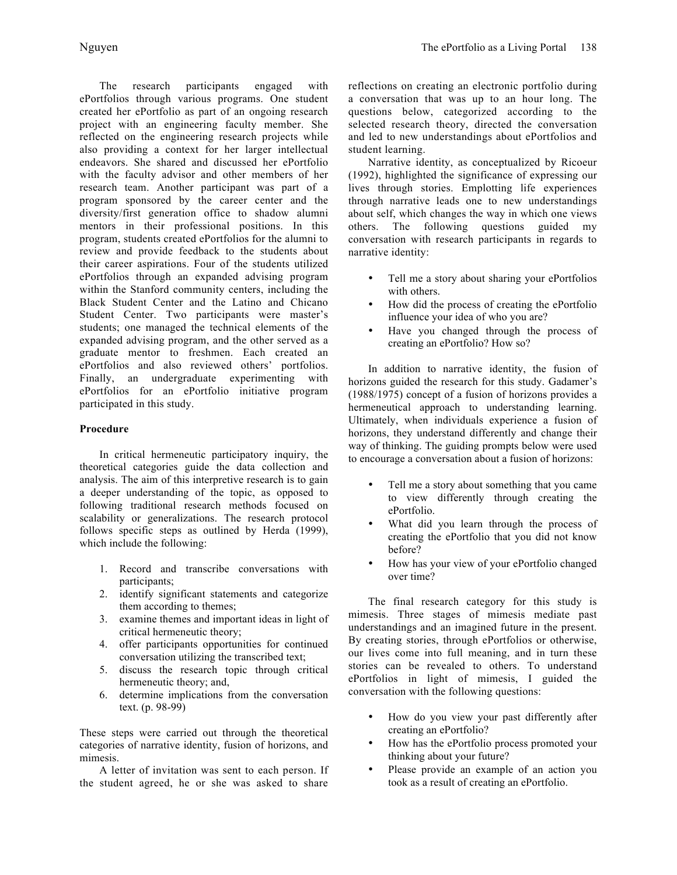The research participants engaged with ePortfolios through various programs. One student created her ePortfolio as part of an ongoing research project with an engineering faculty member. She reflected on the engineering research projects while also providing a context for her larger intellectual endeavors. She shared and discussed her ePortfolio with the faculty advisor and other members of her research team. Another participant was part of a program sponsored by the career center and the diversity/first generation office to shadow alumni mentors in their professional positions. In this program, students created ePortfolios for the alumni to review and provide feedback to the students about their career aspirations. Four of the students utilized ePortfolios through an expanded advising program within the Stanford community centers, including the Black Student Center and the Latino and Chicano Student Center. Two participants were master's students; one managed the technical elements of the expanded advising program, and the other served as a graduate mentor to freshmen. Each created an ePortfolios and also reviewed others' portfolios. Finally, an undergraduate experimenting with ePortfolios for an ePortfolio initiative program participated in this study.

# **Procedure**

In critical hermeneutic participatory inquiry, the theoretical categories guide the data collection and analysis. The aim of this interpretive research is to gain a deeper understanding of the topic, as opposed to following traditional research methods focused on scalability or generalizations. The research protocol follows specific steps as outlined by Herda (1999), which include the following:

- 1. Record and transcribe conversations with participants;
- 2. identify significant statements and categorize them according to themes;
- 3. examine themes and important ideas in light of critical hermeneutic theory;
- 4. offer participants opportunities for continued conversation utilizing the transcribed text;
- 5. discuss the research topic through critical hermeneutic theory; and,
- 6. determine implications from the conversation text. (p. 98-99)

These steps were carried out through the theoretical categories of narrative identity, fusion of horizons, and mimesis.

A letter of invitation was sent to each person. If the student agreed, he or she was asked to share

reflections on creating an electronic portfolio during a conversation that was up to an hour long. The questions below, categorized according to the selected research theory, directed the conversation and led to new understandings about ePortfolios and student learning.

Narrative identity, as conceptualized by Ricoeur (1992), highlighted the significance of expressing our lives through stories. Emplotting life experiences through narrative leads one to new understandings about self, which changes the way in which one views others. The following questions guided my conversation with research participants in regards to narrative identity:

- Tell me a story about sharing your ePortfolios with others.
- How did the process of creating the ePortfolio influence your idea of who you are?
- Have you changed through the process of creating an ePortfolio? How so?

In addition to narrative identity, the fusion of horizons guided the research for this study. Gadamer's (1988/1975) concept of a fusion of horizons provides a hermeneutical approach to understanding learning. Ultimately, when individuals experience a fusion of horizons, they understand differently and change their way of thinking. The guiding prompts below were used to encourage a conversation about a fusion of horizons:

- Tell me a story about something that you came to view differently through creating the ePortfolio.
- What did you learn through the process of creating the ePortfolio that you did not know before?
- How has your view of your ePortfolio changed over time?

The final research category for this study is mimesis. Three stages of mimesis mediate past understandings and an imagined future in the present. By creating stories, through ePortfolios or otherwise, our lives come into full meaning, and in turn these stories can be revealed to others. To understand ePortfolios in light of mimesis, I guided the conversation with the following questions:

- How do you view your past differently after creating an ePortfolio?
- How has the ePortfolio process promoted your thinking about your future?
- Please provide an example of an action you took as a result of creating an ePortfolio.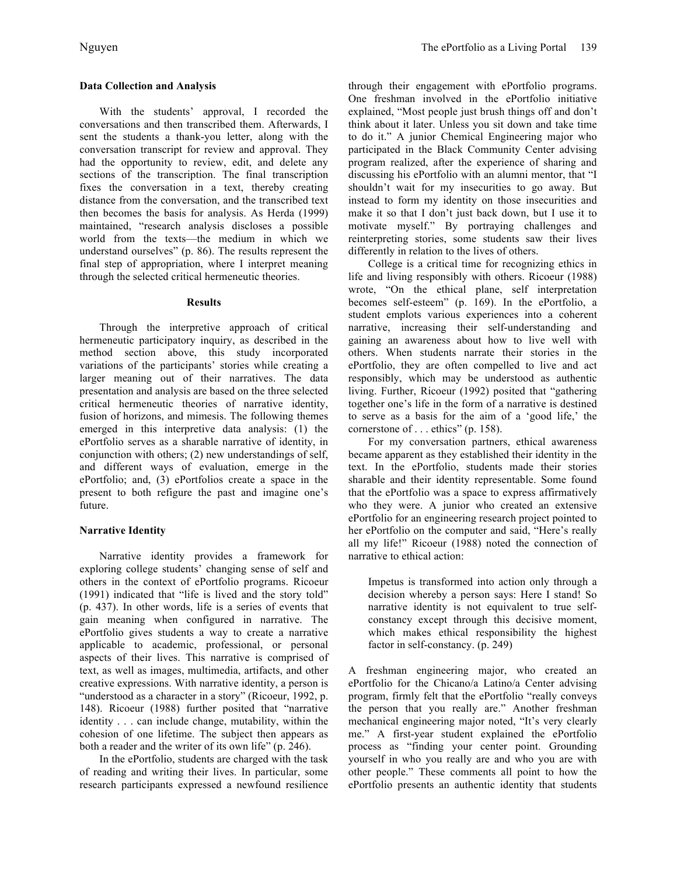# **Data Collection and Analysis**

With the students' approval, I recorded the conversations and then transcribed them. Afterwards, I sent the students a thank-you letter, along with the conversation transcript for review and approval. They had the opportunity to review, edit, and delete any sections of the transcription. The final transcription fixes the conversation in a text, thereby creating distance from the conversation, and the transcribed text then becomes the basis for analysis. As Herda (1999) maintained, "research analysis discloses a possible world from the texts—the medium in which we understand ourselves" (p. 86). The results represent the final step of appropriation, where I interpret meaning through the selected critical hermeneutic theories.

#### **Results**

Through the interpretive approach of critical hermeneutic participatory inquiry, as described in the method section above, this study incorporated variations of the participants' stories while creating a larger meaning out of their narratives. The data presentation and analysis are based on the three selected critical hermeneutic theories of narrative identity, fusion of horizons, and mimesis. The following themes emerged in this interpretive data analysis: (1) the ePortfolio serves as a sharable narrative of identity, in conjunction with others; (2) new understandings of self, and different ways of evaluation, emerge in the ePortfolio; and, (3) ePortfolios create a space in the present to both refigure the past and imagine one's future.

# **Narrative Identity**

Narrative identity provides a framework for exploring college students' changing sense of self and others in the context of ePortfolio programs. Ricoeur (1991) indicated that "life is lived and the story told" (p. 437). In other words, life is a series of events that gain meaning when configured in narrative. The ePortfolio gives students a way to create a narrative applicable to academic, professional, or personal aspects of their lives. This narrative is comprised of text, as well as images, multimedia, artifacts, and other creative expressions. With narrative identity, a person is "understood as a character in a story" (Ricoeur, 1992, p. 148). Ricoeur (1988) further posited that "narrative identity . . . can include change, mutability, within the cohesion of one lifetime. The subject then appears as both a reader and the writer of its own life" (p. 246).

In the ePortfolio, students are charged with the task of reading and writing their lives. In particular, some research participants expressed a newfound resilience through their engagement with ePortfolio programs. One freshman involved in the ePortfolio initiative explained, "Most people just brush things off and don't think about it later. Unless you sit down and take time to do it." A junior Chemical Engineering major who participated in the Black Community Center advising program realized, after the experience of sharing and discussing his ePortfolio with an alumni mentor, that "I shouldn't wait for my insecurities to go away. But instead to form my identity on those insecurities and make it so that I don't just back down, but I use it to motivate myself." By portraying challenges and reinterpreting stories, some students saw their lives differently in relation to the lives of others.

College is a critical time for recognizing ethics in life and living responsibly with others. Ricoeur (1988) wrote, "On the ethical plane, self interpretation becomes self-esteem" (p. 169). In the ePortfolio, a student emplots various experiences into a coherent narrative, increasing their self-understanding and gaining an awareness about how to live well with others. When students narrate their stories in the ePortfolio, they are often compelled to live and act responsibly, which may be understood as authentic living. Further, Ricoeur (1992) posited that "gathering together one's life in the form of a narrative is destined to serve as a basis for the aim of a 'good life,' the cornerstone of . . . ethics" (p. 158).

For my conversation partners, ethical awareness became apparent as they established their identity in the text. In the ePortfolio, students made their stories sharable and their identity representable. Some found that the ePortfolio was a space to express affirmatively who they were. A junior who created an extensive ePortfolio for an engineering research project pointed to her ePortfolio on the computer and said, "Here's really all my life!" Ricoeur (1988) noted the connection of narrative to ethical action:

Impetus is transformed into action only through a decision whereby a person says: Here I stand! So narrative identity is not equivalent to true selfconstancy except through this decisive moment, which makes ethical responsibility the highest factor in self-constancy. (p. 249)

A freshman engineering major, who created an ePortfolio for the Chicano/a Latino/a Center advising program, firmly felt that the ePortfolio "really conveys the person that you really are." Another freshman mechanical engineering major noted, "It's very clearly me." A first-year student explained the ePortfolio process as "finding your center point. Grounding yourself in who you really are and who you are with other people." These comments all point to how the ePortfolio presents an authentic identity that students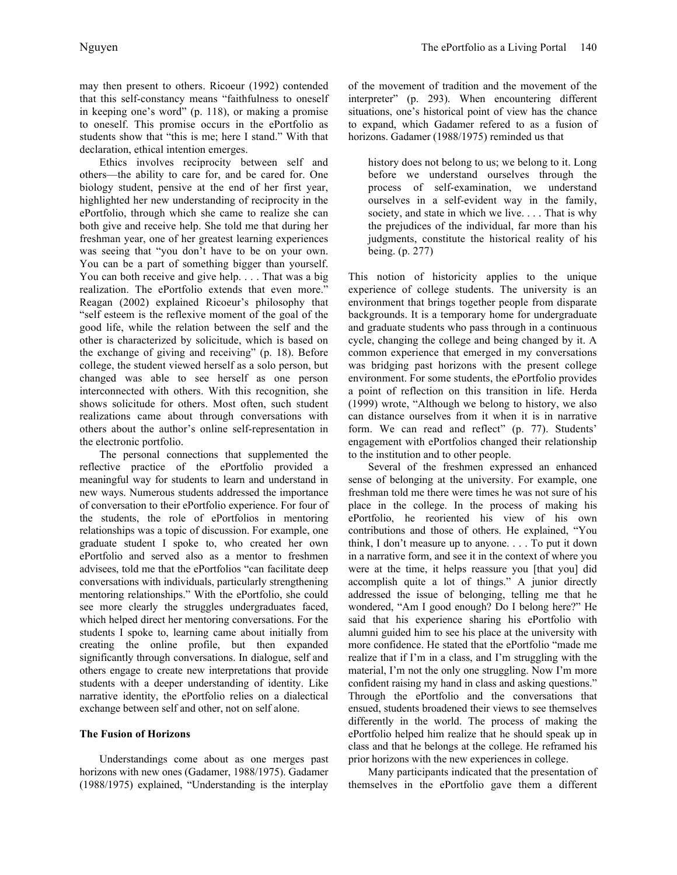may then present to others. Ricoeur (1992) contended that this self-constancy means "faithfulness to oneself in keeping one's word" (p. 118), or making a promise to oneself. This promise occurs in the ePortfolio as students show that "this is me; here I stand." With that declaration, ethical intention emerges.

Ethics involves reciprocity between self and others—the ability to care for, and be cared for. One biology student, pensive at the end of her first year, highlighted her new understanding of reciprocity in the ePortfolio, through which she came to realize she can both give and receive help. She told me that during her freshman year, one of her greatest learning experiences was seeing that "you don't have to be on your own. You can be a part of something bigger than yourself. You can both receive and give help. . . . That was a big realization. The ePortfolio extends that even more." Reagan (2002) explained Ricoeur's philosophy that "self esteem is the reflexive moment of the goal of the good life, while the relation between the self and the other is characterized by solicitude, which is based on the exchange of giving and receiving" (p. 18). Before college, the student viewed herself as a solo person, but changed was able to see herself as one person interconnected with others. With this recognition, she shows solicitude for others. Most often, such student realizations came about through conversations with others about the author's online self-representation in the electronic portfolio.

The personal connections that supplemented the reflective practice of the ePortfolio provided a meaningful way for students to learn and understand in new ways. Numerous students addressed the importance of conversation to their ePortfolio experience. For four of the students, the role of ePortfolios in mentoring relationships was a topic of discussion. For example, one graduate student I spoke to, who created her own ePortfolio and served also as a mentor to freshmen advisees, told me that the ePortfolios "can facilitate deep conversations with individuals, particularly strengthening mentoring relationships." With the ePortfolio, she could see more clearly the struggles undergraduates faced, which helped direct her mentoring conversations. For the students I spoke to, learning came about initially from creating the online profile, but then expanded significantly through conversations. In dialogue, self and others engage to create new interpretations that provide students with a deeper understanding of identity. Like narrative identity, the ePortfolio relies on a dialectical exchange between self and other, not on self alone.

# **The Fusion of Horizons**

Understandings come about as one merges past horizons with new ones (Gadamer, 1988/1975). Gadamer (1988/1975) explained, "Understanding is the interplay of the movement of tradition and the movement of the interpreter" (p. 293). When encountering different situations, one's historical point of view has the chance to expand, which Gadamer refered to as a fusion of horizons. Gadamer (1988/1975) reminded us that

history does not belong to us; we belong to it. Long before we understand ourselves through the process of self-examination, we understand ourselves in a self-evident way in the family, society, and state in which we live. . . . That is why the prejudices of the individual, far more than his judgments, constitute the historical reality of his being. (p. 277)

This notion of historicity applies to the unique experience of college students. The university is an environment that brings together people from disparate backgrounds. It is a temporary home for undergraduate and graduate students who pass through in a continuous cycle, changing the college and being changed by it. A common experience that emerged in my conversations was bridging past horizons with the present college environment. For some students, the ePortfolio provides a point of reflection on this transition in life. Herda (1999) wrote, "Although we belong to history, we also can distance ourselves from it when it is in narrative form. We can read and reflect" (p. 77). Students' engagement with ePortfolios changed their relationship to the institution and to other people.

Several of the freshmen expressed an enhanced sense of belonging at the university. For example, one freshman told me there were times he was not sure of his place in the college. In the process of making his ePortfolio, he reoriented his view of his own contributions and those of others. He explained, "You think, I don't measure up to anyone. . . . To put it down in a narrative form, and see it in the context of where you were at the time, it helps reassure you [that you] did accomplish quite a lot of things." A junior directly addressed the issue of belonging, telling me that he wondered, "Am I good enough? Do I belong here?" He said that his experience sharing his ePortfolio with alumni guided him to see his place at the university with more confidence. He stated that the ePortfolio "made me realize that if I'm in a class, and I'm struggling with the material, I'm not the only one struggling. Now I'm more confident raising my hand in class and asking questions." Through the ePortfolio and the conversations that ensued, students broadened their views to see themselves differently in the world. The process of making the ePortfolio helped him realize that he should speak up in class and that he belongs at the college. He reframed his prior horizons with the new experiences in college.

Many participants indicated that the presentation of themselves in the ePortfolio gave them a different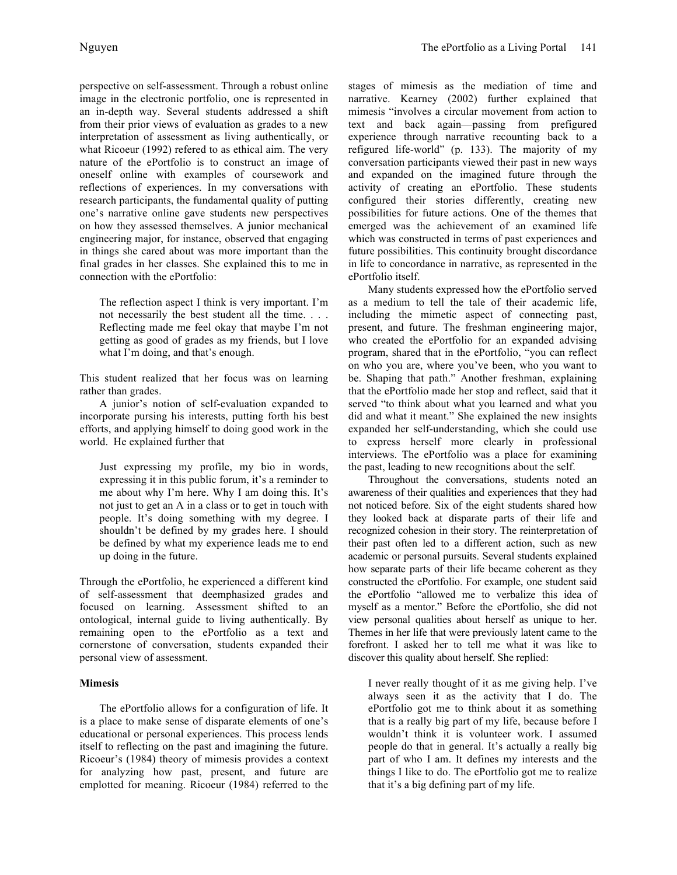perspective on self-assessment. Through a robust online image in the electronic portfolio, one is represented in an in-depth way. Several students addressed a shift from their prior views of evaluation as grades to a new interpretation of assessment as living authentically, or what Ricoeur (1992) refered to as ethical aim. The very nature of the ePortfolio is to construct an image of oneself online with examples of coursework and reflections of experiences. In my conversations with research participants, the fundamental quality of putting one's narrative online gave students new perspectives on how they assessed themselves. A junior mechanical engineering major, for instance, observed that engaging in things she cared about was more important than the final grades in her classes. She explained this to me in connection with the ePortfolio:

The reflection aspect I think is very important. I'm not necessarily the best student all the time. . . . Reflecting made me feel okay that maybe I'm not getting as good of grades as my friends, but I love what I'm doing, and that's enough.

This student realized that her focus was on learning rather than grades.

A junior's notion of self-evaluation expanded to incorporate pursing his interests, putting forth his best efforts, and applying himself to doing good work in the world. He explained further that

Just expressing my profile, my bio in words, expressing it in this public forum, it's a reminder to me about why I'm here. Why I am doing this. It's not just to get an A in a class or to get in touch with people. It's doing something with my degree. I shouldn't be defined by my grades here. I should be defined by what my experience leads me to end up doing in the future.

Through the ePortfolio, he experienced a different kind of self-assessment that deemphasized grades and focused on learning. Assessment shifted to an ontological, internal guide to living authentically. By remaining open to the ePortfolio as a text and cornerstone of conversation, students expanded their personal view of assessment.

# **Mimesis**

The ePortfolio allows for a configuration of life. It is a place to make sense of disparate elements of one's educational or personal experiences. This process lends itself to reflecting on the past and imagining the future. Ricoeur's (1984) theory of mimesis provides a context for analyzing how past, present, and future are emplotted for meaning. Ricoeur (1984) referred to the stages of mimesis as the mediation of time and narrative. Kearney (2002) further explained that mimesis "involves a circular movement from action to text and back again—passing from prefigured experience through narrative recounting back to a refigured life-world" (p. 133). The majority of my conversation participants viewed their past in new ways and expanded on the imagined future through the activity of creating an ePortfolio. These students configured their stories differently, creating new possibilities for future actions. One of the themes that emerged was the achievement of an examined life which was constructed in terms of past experiences and future possibilities. This continuity brought discordance in life to concordance in narrative, as represented in the ePortfolio itself.

Many students expressed how the ePortfolio served as a medium to tell the tale of their academic life, including the mimetic aspect of connecting past, present, and future. The freshman engineering major, who created the ePortfolio for an expanded advising program, shared that in the ePortfolio, "you can reflect on who you are, where you've been, who you want to be. Shaping that path." Another freshman, explaining that the ePortfolio made her stop and reflect, said that it served "to think about what you learned and what you did and what it meant." She explained the new insights expanded her self-understanding, which she could use to express herself more clearly in professional interviews. The ePortfolio was a place for examining the past, leading to new recognitions about the self.

Throughout the conversations, students noted an awareness of their qualities and experiences that they had not noticed before. Six of the eight students shared how they looked back at disparate parts of their life and recognized cohesion in their story. The reinterpretation of their past often led to a different action, such as new academic or personal pursuits. Several students explained how separate parts of their life became coherent as they constructed the ePortfolio. For example, one student said the ePortfolio "allowed me to verbalize this idea of myself as a mentor." Before the ePortfolio, she did not view personal qualities about herself as unique to her. Themes in her life that were previously latent came to the forefront. I asked her to tell me what it was like to discover this quality about herself. She replied:

I never really thought of it as me giving help. I've always seen it as the activity that I do. The ePortfolio got me to think about it as something that is a really big part of my life, because before I wouldn't think it is volunteer work. I assumed people do that in general. It's actually a really big part of who I am. It defines my interests and the things I like to do. The ePortfolio got me to realize that it's a big defining part of my life.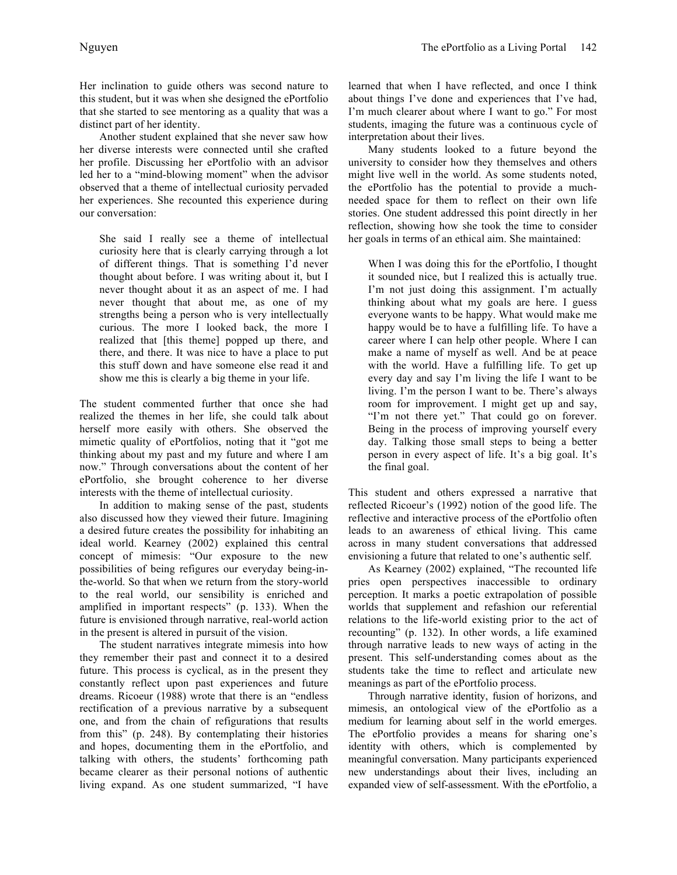Her inclination to guide others was second nature to this student, but it was when she designed the ePortfolio that she started to see mentoring as a quality that was a distinct part of her identity.

Another student explained that she never saw how her diverse interests were connected until she crafted her profile. Discussing her ePortfolio with an advisor led her to a "mind-blowing moment" when the advisor observed that a theme of intellectual curiosity pervaded her experiences. She recounted this experience during our conversation:

She said I really see a theme of intellectual curiosity here that is clearly carrying through a lot of different things. That is something I'd never thought about before. I was writing about it, but I never thought about it as an aspect of me. I had never thought that about me, as one of my strengths being a person who is very intellectually curious. The more I looked back, the more I realized that [this theme] popped up there, and there, and there. It was nice to have a place to put this stuff down and have someone else read it and show me this is clearly a big theme in your life.

The student commented further that once she had realized the themes in her life, she could talk about herself more easily with others. She observed the mimetic quality of ePortfolios, noting that it "got me thinking about my past and my future and where I am now." Through conversations about the content of her ePortfolio, she brought coherence to her diverse interests with the theme of intellectual curiosity.

In addition to making sense of the past, students also discussed how they viewed their future. Imagining a desired future creates the possibility for inhabiting an ideal world. Kearney (2002) explained this central concept of mimesis: "Our exposure to the new possibilities of being refigures our everyday being-inthe-world. So that when we return from the story-world to the real world, our sensibility is enriched and amplified in important respects" (p. 133). When the future is envisioned through narrative, real-world action in the present is altered in pursuit of the vision.

The student narratives integrate mimesis into how they remember their past and connect it to a desired future. This process is cyclical, as in the present they constantly reflect upon past experiences and future dreams. Ricoeur (1988) wrote that there is an "endless rectification of a previous narrative by a subsequent one, and from the chain of refigurations that results from this" (p. 248). By contemplating their histories and hopes, documenting them in the ePortfolio, and talking with others, the students' forthcoming path became clearer as their personal notions of authentic living expand. As one student summarized, "I have

learned that when I have reflected, and once I think about things I've done and experiences that I've had, I'm much clearer about where I want to go." For most students, imaging the future was a continuous cycle of interpretation about their lives.

Many students looked to a future beyond the university to consider how they themselves and others might live well in the world. As some students noted, the ePortfolio has the potential to provide a muchneeded space for them to reflect on their own life stories. One student addressed this point directly in her reflection, showing how she took the time to consider her goals in terms of an ethical aim. She maintained:

When I was doing this for the ePortfolio, I thought it sounded nice, but I realized this is actually true. I'm not just doing this assignment. I'm actually thinking about what my goals are here. I guess everyone wants to be happy. What would make me happy would be to have a fulfilling life. To have a career where I can help other people. Where I can make a name of myself as well. And be at peace with the world. Have a fulfilling life. To get up every day and say I'm living the life I want to be living. I'm the person I want to be. There's always room for improvement. I might get up and say, "I'm not there yet." That could go on forever. Being in the process of improving yourself every day. Talking those small steps to being a better person in every aspect of life. It's a big goal. It's the final goal.

This student and others expressed a narrative that reflected Ricoeur's (1992) notion of the good life. The reflective and interactive process of the ePortfolio often leads to an awareness of ethical living. This came across in many student conversations that addressed envisioning a future that related to one's authentic self.

As Kearney (2002) explained, "The recounted life pries open perspectives inaccessible to ordinary perception. It marks a poetic extrapolation of possible worlds that supplement and refashion our referential relations to the life-world existing prior to the act of recounting" (p. 132). In other words, a life examined through narrative leads to new ways of acting in the present. This self-understanding comes about as the students take the time to reflect and articulate new meanings as part of the ePortfolio process.

Through narrative identity, fusion of horizons, and mimesis, an ontological view of the ePortfolio as a medium for learning about self in the world emerges. The ePortfolio provides a means for sharing one's identity with others, which is complemented by meaningful conversation. Many participants experienced new understandings about their lives, including an expanded view of self-assessment. With the ePortfolio, a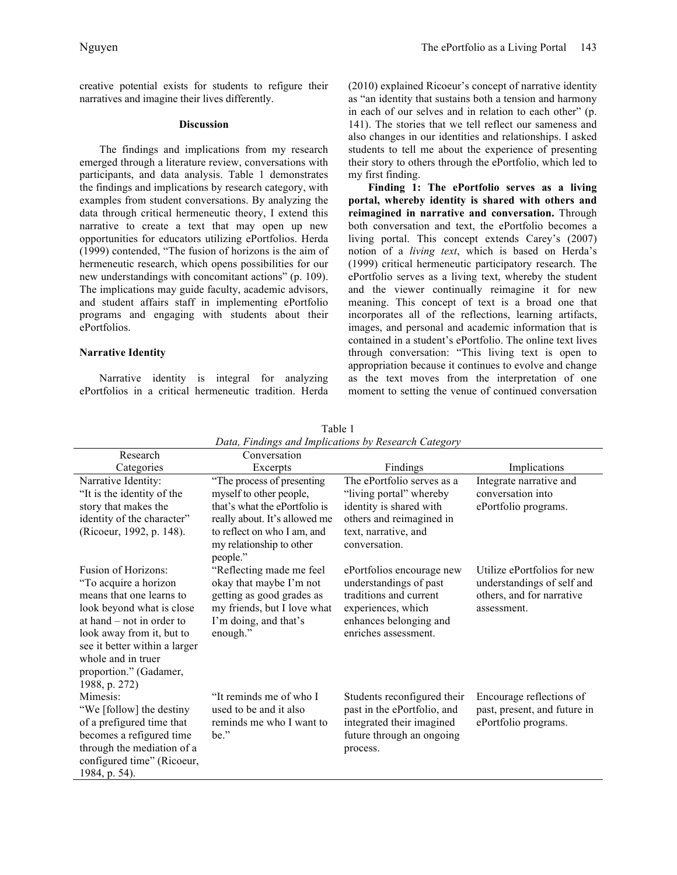creative potential exists for students to refigure their narratives and imagine their lives differently.

#### **Discussion**

The findings and implications from my research emerged through a literature review, conversations with participants, and data analysis. Table 1 demonstrates the findings and implications by research category, with examples from student conversations. By analyzing the data through critical hermeneutic theory, I extend this narrative to create a text that may open up new opportunities for educators utilizing ePortfolios. Herda (1999) contended, "The fusion of horizons is the aim of hermeneutic research, which opens possibilities for our new understandings with concomitant actions" (p. 109). The implications may guide faculty, academic advisors, and student affairs staff in implementing ePortfolio programs and engaging with students about their ePortfolios.

#### **Narrative Identity**

Narrative identity is integral for analyzing ePortfolios in a critical hermeneutic tradition. Herda (2010) explained Ricoeur's concept of narrative identity as "an identity that sustains both a tension and harmony in each of our selves and in relation to each other" (p. 141). The stories that we tell reflect our sameness and also changes in our identities and relationships. I asked students to tell me about the experience of presenting their story to others through the ePortfolio, which led to my first finding.

**Finding 1: The ePortfolio serves as a living portal, whereby identity is shared with others and reimagined in narrative and conversation.** Through both conversation and text, the ePortfolio becomes a living portal. This concept extends Carey's (2007) notion of a *living text*, which is based on Herda's (1999) critical hermeneutic participatory research. The ePortfolio serves as a living text, whereby the student and the viewer continually reimagine it for new meaning. This concept of text is a broad one that incorporates all of the reflections, learning artifacts, images, and personal and academic information that is contained in a student's ePortfolio. The online text lives through conversation: "This living text is open to appropriation because it continues to evolve and change as the text moves from the interpretation of one moment to setting the venue of continued conversation

| Research                                                                                                                                                                                                                 | Conversation                                                                                                                                                                       |                                                                                                                                                       |                                                                                                       |
|--------------------------------------------------------------------------------------------------------------------------------------------------------------------------------------------------------------------------|------------------------------------------------------------------------------------------------------------------------------------------------------------------------------------|-------------------------------------------------------------------------------------------------------------------------------------------------------|-------------------------------------------------------------------------------------------------------|
| Categories                                                                                                                                                                                                               | Excerpts                                                                                                                                                                           | Findings                                                                                                                                              | Implications                                                                                          |
| Narrative Identity:<br>"It is the identity of the<br>story that makes the<br>identity of the character"<br>(Ricoeur, 1992, p. 148).                                                                                      | "The process of presenting<br>myself to other people,<br>that's what the ePortfolio is<br>really about. It's allowed me<br>to reflect on who I am, and<br>my relationship to other | The ePortfolio serves as a<br>"living portal" whereby<br>identity is shared with<br>others and reimagined in<br>text, narrative, and<br>conversation. | Integrate narrative and<br>conversation into<br>ePortfolio programs.                                  |
| Fusion of Horizons:<br>"To acquire a horizon<br>means that one learns to<br>look beyond what is close<br>at hand $-$ not in order to<br>look away from it, but to<br>see it better within a larger<br>whole and in truer | people."<br>"Reflecting made me feel<br>okay that maybe I'm not<br>getting as good grades as<br>my friends, but I love what<br>I'm doing, and that's<br>enough."                   | ePortfolios encourage new<br>understandings of past<br>traditions and current<br>experiences, which<br>enhances belonging and<br>enriches assessment. | Utilize ePortfolios for new<br>understandings of self and<br>others, and for narrative<br>assessment. |
| proportion." (Gadamer,<br>1988, p. 272)<br>Mimesis:<br>"We [follow] the destiny<br>of a prefigured time that<br>becomes a refigured time<br>through the mediation of a<br>configured time" (Ricoeur,<br>1984, p. 54).    | "It reminds me of who I<br>used to be and it also<br>reminds me who I want to<br>be."                                                                                              | Students reconfigured their<br>past in the ePortfolio, and<br>integrated their imagined<br>future through an ongoing<br>process.                      | Encourage reflections of<br>past, present, and future in<br>ePortfolio programs.                      |

Table 1 *Data, Findings and Implications by Research Category*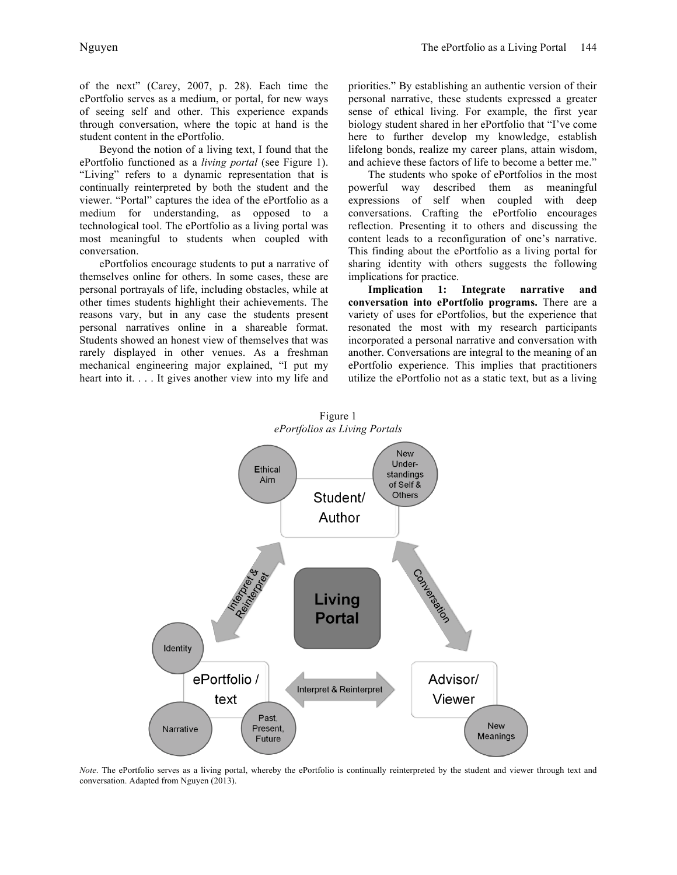of the next" (Carey, 2007, p. 28). Each time the ePortfolio serves as a medium, or portal, for new ways of seeing self and other. This experience expands through conversation, where the topic at hand is the student content in the ePortfolio.

Beyond the notion of a living text, I found that the ePortfolio functioned as a *living portal* (see Figure 1). "Living" refers to a dynamic representation that is continually reinterpreted by both the student and the viewer. "Portal" captures the idea of the ePortfolio as a medium for understanding, as opposed to a technological tool. The ePortfolio as a living portal was most meaningful to students when coupled with conversation.

ePortfolios encourage students to put a narrative of themselves online for others. In some cases, these are personal portrayals of life, including obstacles, while at other times students highlight their achievements. The reasons vary, but in any case the students present personal narratives online in a shareable format. Students showed an honest view of themselves that was rarely displayed in other venues. As a freshman mechanical engineering major explained, "I put my heart into it.  $\ldots$  It gives another view into my life and

priorities." By establishing an authentic version of their personal narrative, these students expressed a greater sense of ethical living. For example, the first year biology student shared in her ePortfolio that "I've come here to further develop my knowledge, establish lifelong bonds, realize my career plans, attain wisdom, and achieve these factors of life to become a better me."

The students who spoke of ePortfolios in the most powerful way described them as meaningful expressions of self when coupled with deep conversations. Crafting the ePortfolio encourages reflection. Presenting it to others and discussing the content leads to a reconfiguration of one's narrative. This finding about the ePortfolio as a living portal for sharing identity with others suggests the following implications for practice.

**Implication 1: Integrate narrative and conversation into ePortfolio programs.** There are a variety of uses for ePortfolios, but the experience that resonated the most with my research participants incorporated a personal narrative and conversation with another. Conversations are integral to the meaning of an ePortfolio experience. This implies that practitioners utilize the ePortfolio not as a static text, but as a living



*Note*. The ePortfolio serves as a living portal, whereby the ePortfolio is continually reinterpreted by the student and viewer through text and conversation. Adapted from Nguyen (2013).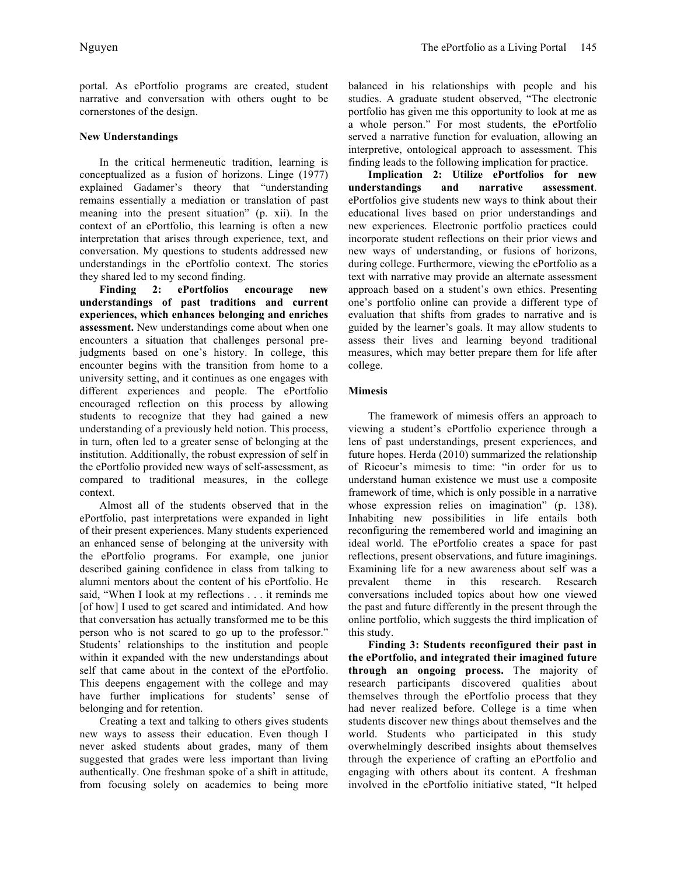portal. As ePortfolio programs are created, student narrative and conversation with others ought to be cornerstones of the design.

# **New Understandings**

In the critical hermeneutic tradition, learning is conceptualized as a fusion of horizons. Linge (1977) explained Gadamer's theory that "understanding remains essentially a mediation or translation of past meaning into the present situation" (p. xii). In the context of an ePortfolio, this learning is often a new interpretation that arises through experience, text, and conversation. My questions to students addressed new understandings in the ePortfolio context. The stories they shared led to my second finding.

**Finding 2: ePortfolios encourage new understandings of past traditions and current experiences, which enhances belonging and enriches assessment.** New understandings come about when one encounters a situation that challenges personal prejudgments based on one's history. In college, this encounter begins with the transition from home to a university setting, and it continues as one engages with different experiences and people. The ePortfolio encouraged reflection on this process by allowing students to recognize that they had gained a new understanding of a previously held notion. This process, in turn, often led to a greater sense of belonging at the institution. Additionally, the robust expression of self in the ePortfolio provided new ways of self-assessment, as compared to traditional measures, in the college context.

Almost all of the students observed that in the ePortfolio, past interpretations were expanded in light of their present experiences. Many students experienced an enhanced sense of belonging at the university with the ePortfolio programs. For example, one junior described gaining confidence in class from talking to alumni mentors about the content of his ePortfolio. He said, "When I look at my reflections . . . it reminds me [of how] I used to get scared and intimidated. And how that conversation has actually transformed me to be this person who is not scared to go up to the professor." Students' relationships to the institution and people within it expanded with the new understandings about self that came about in the context of the ePortfolio. This deepens engagement with the college and may have further implications for students' sense of belonging and for retention.

Creating a text and talking to others gives students new ways to assess their education. Even though I never asked students about grades, many of them suggested that grades were less important than living authentically. One freshman spoke of a shift in attitude, from focusing solely on academics to being more

balanced in his relationships with people and his studies. A graduate student observed, "The electronic portfolio has given me this opportunity to look at me as a whole person." For most students, the ePortfolio served a narrative function for evaluation, allowing an interpretive, ontological approach to assessment. This finding leads to the following implication for practice.

**Implication 2: Utilize ePortfolios for new understandings and narrative assessment**. ePortfolios give students new ways to think about their educational lives based on prior understandings and new experiences. Electronic portfolio practices could incorporate student reflections on their prior views and new ways of understanding, or fusions of horizons, during college. Furthermore, viewing the ePortfolio as a text with narrative may provide an alternate assessment approach based on a student's own ethics. Presenting one's portfolio online can provide a different type of evaluation that shifts from grades to narrative and is guided by the learner's goals. It may allow students to assess their lives and learning beyond traditional measures, which may better prepare them for life after college.

# **Mimesis**

The framework of mimesis offers an approach to viewing a student's ePortfolio experience through a lens of past understandings, present experiences, and future hopes. Herda (2010) summarized the relationship of Ricoeur's mimesis to time: "in order for us to understand human existence we must use a composite framework of time, which is only possible in a narrative whose expression relies on imagination" (p. 138). Inhabiting new possibilities in life entails both reconfiguring the remembered world and imagining an ideal world. The ePortfolio creates a space for past reflections, present observations, and future imaginings. Examining life for a new awareness about self was a prevalent theme in this research. Research conversations included topics about how one viewed the past and future differently in the present through the online portfolio, which suggests the third implication of this study.

**Finding 3: Students reconfigured their past in the ePortfolio, and integrated their imagined future through an ongoing process.** The majority of research participants discovered qualities about themselves through the ePortfolio process that they had never realized before. College is a time when students discover new things about themselves and the world. Students who participated in this study overwhelmingly described insights about themselves through the experience of crafting an ePortfolio and engaging with others about its content. A freshman involved in the ePortfolio initiative stated, "It helped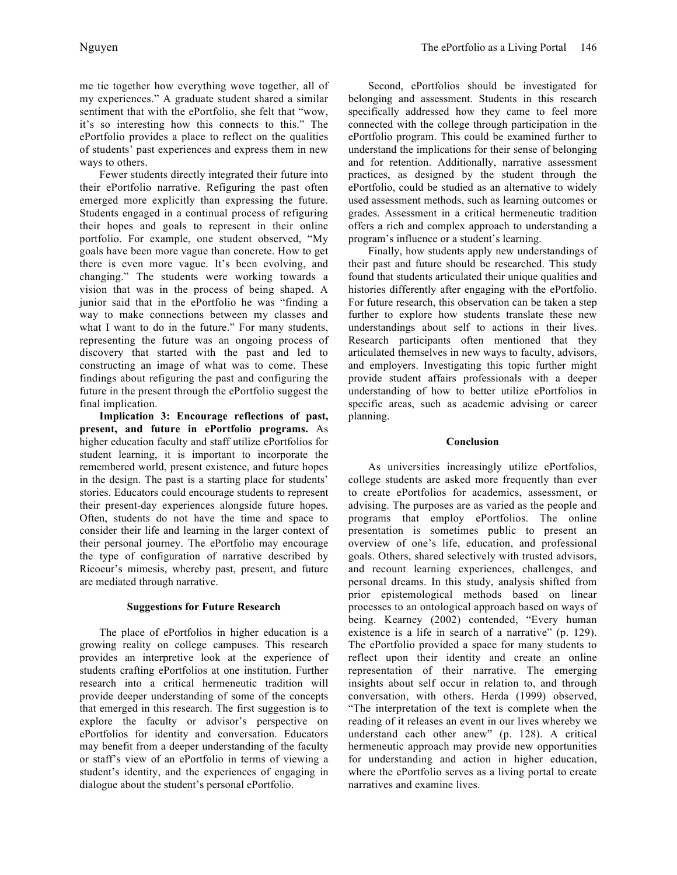me tie together how everything wove together, all of my experiences." A graduate student shared a similar sentiment that with the ePortfolio, she felt that "wow, it's so interesting how this connects to this." The ePortfolio provides a place to reflect on the qualities of students' past experiences and express them in new ways to others.

Fewer students directly integrated their future into their ePortfolio narrative. Refiguring the past often emerged more explicitly than expressing the future. Students engaged in a continual process of refiguring their hopes and goals to represent in their online portfolio. For example, one student observed, "My goals have been more vague than concrete. How to get there is even more vague. It's been evolving, and changing." The students were working towards a vision that was in the process of being shaped. A junior said that in the ePortfolio he was "finding a way to make connections between my classes and what I want to do in the future." For many students, representing the future was an ongoing process of discovery that started with the past and led to constructing an image of what was to come. These findings about refiguring the past and configuring the future in the present through the ePortfolio suggest the final implication.

**Implication 3: Encourage reflections of past, present, and future in ePortfolio programs.** As higher education faculty and staff utilize ePortfolios for student learning, it is important to incorporate the remembered world, present existence, and future hopes in the design. The past is a starting place for students' stories. Educators could encourage students to represent their present-day experiences alongside future hopes. Often, students do not have the time and space to consider their life and learning in the larger context of their personal journey. The ePortfolio may encourage the type of configuration of narrative described by Ricoeur's mimesis, whereby past, present, and future are mediated through narrative.

# **Suggestions for Future Research**

The place of ePortfolios in higher education is a growing reality on college campuses. This research provides an interpretive look at the experience of students crafting ePortfolios at one institution. Further research into a critical hermeneutic tradition will provide deeper understanding of some of the concepts that emerged in this research. The first suggestion is to explore the faculty or advisor's perspective on ePortfolios for identity and conversation. Educators may benefit from a deeper understanding of the faculty or staff's view of an ePortfolio in terms of viewing a student's identity, and the experiences of engaging in dialogue about the student's personal ePortfolio.

Second, ePortfolios should be investigated for belonging and assessment. Students in this research specifically addressed how they came to feel more connected with the college through participation in the ePortfolio program. This could be examined further to understand the implications for their sense of belonging and for retention. Additionally, narrative assessment practices, as designed by the student through the ePortfolio, could be studied as an alternative to widely used assessment methods, such as learning outcomes or grades. Assessment in a critical hermeneutic tradition offers a rich and complex approach to understanding a program's influence or a student's learning.

Finally, how students apply new understandings of their past and future should be researched. This study found that students articulated their unique qualities and histories differently after engaging with the ePortfolio. For future research, this observation can be taken a step further to explore how students translate these new understandings about self to actions in their lives. Research participants often mentioned that they articulated themselves in new ways to faculty, advisors, and employers. Investigating this topic further might provide student affairs professionals with a deeper understanding of how to better utilize ePortfolios in specific areas, such as academic advising or career planning.

#### **Conclusion**

As universities increasingly utilize ePortfolios, college students are asked more frequently than ever to create ePortfolios for academics, assessment, or advising. The purposes are as varied as the people and programs that employ ePortfolios. The online presentation is sometimes public to present an overview of one's life, education, and professional goals. Others, shared selectively with trusted advisors, and recount learning experiences, challenges, and personal dreams. In this study, analysis shifted from prior epistemological methods based on linear processes to an ontological approach based on ways of being. Kearney (2002) contended, "Every human existence is a life in search of a narrative" (p. 129). The ePortfolio provided a space for many students to reflect upon their identity and create an online representation of their narrative. The emerging insights about self occur in relation to, and through conversation, with others. Herda (1999) observed, "The interpretation of the text is complete when the reading of it releases an event in our lives whereby we understand each other anew" (p. 128). A critical hermeneutic approach may provide new opportunities for understanding and action in higher education, where the ePortfolio serves as a living portal to create narratives and examine lives.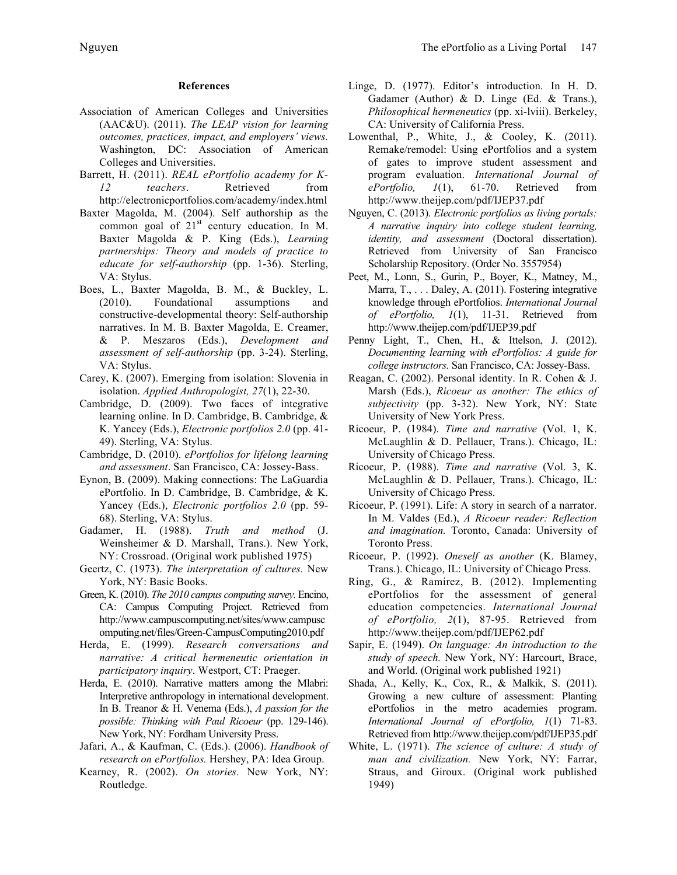# **References**

- Association of American Colleges and Universities (AAC&U). (2011). *The LEAP vision for learning outcomes, practices, impact, and employers' views.*  Washington, DC: Association of American Colleges and Universities.
- Barrett, H. (2011). *REAL ePortfolio academy for K-12 teachers*. Retrieved from http://electronicportfolios.com/academy/index.html
- Baxter Magolda, M. (2004). Self authorship as the common goal of  $21<sup>st</sup>$  century education. In M. Baxter Magolda & P. King (Eds.), *Learning partnerships: Theory and models of practice to educate for self-authorship* (pp. 1-36). Sterling, VA: Stylus.
- Boes, L., Baxter Magolda, B. M., & Buckley, L. (2010). Foundational assumptions and constructive-developmental theory: Self-authorship narratives. In M. B. Baxter Magolda, E. Creamer, & P. Meszaros (Eds.), *Development and assessment of self-authorship* (pp. 3-24). Sterling, VA: Stylus.
- Carey, K. (2007). Emerging from isolation: Slovenia in isolation. *Applied Anthropologist, 27*(1), 22-30.
- Cambridge, D. (2009). Two faces of integrative learning online. In D. Cambridge, B. Cambridge, & K. Yancey (Eds.), *Electronic portfolios 2.0* (pp. 41- 49). Sterling, VA: Stylus.
- Cambridge, D. (2010). *ePortfolios for lifelong learning and assessment*. San Francisco, CA: Jossey-Bass.
- Eynon, B. (2009). Making connections: The LaGuardia ePortfolio. In D. Cambridge, B. Cambridge, & K. Yancey (Eds.), *Electronic portfolios 2.0* (pp. 59- 68). Sterling, VA: Stylus.
- Gadamer, H. (1988). *Truth and method* (J. Weinsheimer & D. Marshall, Trans.). New York, NY: Crossroad. (Original work published 1975)
- Geertz, C. (1973). *The interpretation of cultures.* New York, NY: Basic Books.
- Green, K. (2010). *The 2010 campus computing survey.* Encino, CA: Campus Computing Project. Retrieved from http://www.campuscomputing.net/sites/www.campusc omputing.net/files/Green-CampusComputing2010.pdf
- Herda, E. (1999). *Research conversations and narrative: A critical hermeneutic orientation in participatory inquiry*. Westport, CT: Praeger.
- Herda, E. (2010). Narrative matters among the Mlabri: Interpretive anthropology in international development. In B. Treanor & H. Venema (Eds.), *A passion for the possible: Thinking with Paul Ricoeur* (pp. 129-146). New York, NY: Fordham University Press.
- Jafari, A., & Kaufman, C. (Eds.). (2006). *Handbook of research on ePortfolios.* Hershey, PA: Idea Group.
- Kearney, R. (2002). *On stories.* New York, NY: Routledge.
- Linge, D. (1977). Editor's introduction. In H. D. Gadamer (Author) & D. Linge (Ed. & Trans.), *Philosophical hermeneutics* (pp. xi-lviii). Berkeley, CA: University of California Press.
- Lowenthal, P., White, J., & Cooley, K. (2011). Remake/remodel: Using ePortfolios and a system of gates to improve student assessment and program evaluation. *International Journal of ePortfolio, 1*(1), 61-70. Retrieved from http://www.theijep.com/pdf/IJEP37.pdf
- Nguyen, C. (2013). *Electronic portfolios as living portals: A narrative inquiry into college student learning, identity, and assessment* (Doctoral dissertation). Retrieved from University of San Francisco Scholarship Repository. (Order No. 3557954)
- Peet, M., Lonn, S., Gurin, P., Boyer, K., Matney, M., Marra, T., ... Daley, A. (2011). Fostering integrative knowledge through ePortfolios. *International Journal of ePortfolio, 1*(1), 11-31. Retrieved from http://www.theijep.com/pdf/IJEP39.pdf
- Penny Light, T., Chen, H., & Ittelson, J. (2012). *Documenting learning with ePortfolios: A guide for college instructors.* San Francisco, CA: Jossey-Bass.
- Reagan, C. (2002). Personal identity. In R. Cohen & J. Marsh (Eds.), *Ricoeur as another: The ethics of subjectivity* (pp. 3-32). New York, NY: State University of New York Press.
- Ricoeur, P. (1984). *Time and narrative* (Vol. 1, K. McLaughlin & D. Pellauer, Trans.). Chicago, IL: University of Chicago Press.
- Ricoeur, P. (1988). *Time and narrative* (Vol. 3, K. McLaughlin & D. Pellauer, Trans.). Chicago, IL: University of Chicago Press.
- Ricoeur, P. (1991). Life: A story in search of a narrator. In M. Valdes (Ed.), *A Ricoeur reader: Reflection and imagination.* Toronto, Canada: University of Toronto Press.
- Ricoeur, P. (1992). *Oneself as another* (K. Blamey, Trans.). Chicago, IL: University of Chicago Press.
- Ring, G., & Ramirez, B. (2012). Implementing ePortfolios for the assessment of general education competencies. *International Journal of ePortfolio, 2*(1), 87-95. Retrieved from http://www.theijep.com/pdf/IJEP62.pdf
- Sapir, E. (1949). *On language: An introduction to the study of speech.* New York, NY: Harcourt, Brace, and World. (Original work published 1921)
- Shada, A., Kelly, K., Cox, R., & Malkik, S. (2011). Growing a new culture of assessment: Planting ePortfolios in the metro academies program. *International Journal of ePortfolio, 1*(1) 71-83. Retrieved from http://www.theijep.com/pdf/IJEP35.pdf
- White, L. (1971). *The science of culture: A study of man and civilization.* New York, NY: Farrar, Straus, and Giroux. (Original work published 1949)